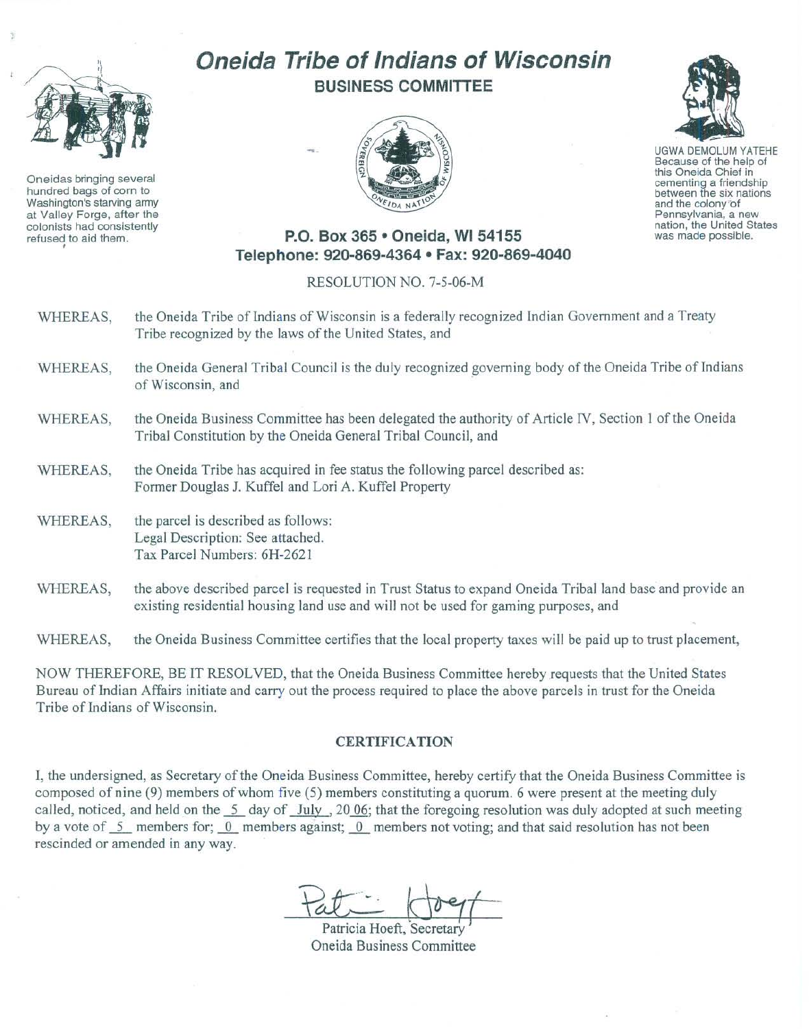

Oneidas bringing several hundred bags of corn to Washington's starving army at Vallay Forge, after the colonists had consistently refused to aid them.

## Oneida Tribe of Indians of Wisconsin BUSINESS COMMITTEE





UGWA DEMOLUM YATEHE Because of the help of this Oneida Chief in cementing a friendship between the six nations and the colony or Pennsylvania, a new nation, the United States was made possible.

## P.O. Box 365 · Oneida, WI 54155 Telephone: 920·869·4364 • Fax: 920-869-4040

RESOLUTION NO. 7-5-06-M

- WHEREAS, the Oneida Tribe of Indians of Wisconsin is a federally recognized Indian Government and a Treaty Tribe recognized by the laws of the United States, and
- WHEREAS, the Oneida General Tribal Council is the duly recognized governing body of the Oneida Tribe of Indians of Wisconsin, and
- WHEREAS, the Oneida Business Committee has been delegated the authority of Article IV, Section I of the Oneida Tribal Constitution by the Oneida General Tribal Council, and
- WHEREAS, the Oneida Tribe has acquired in fee status the following parcel described as: Fonner Douglas J. Kuffel and Lori A, Kuffel Property
- WHEREAS, the parcel is described as follows: Legal Description: See attached. Tax Parcel Numbers: 6H-2621
- WHEREAS, the above described parcel is requested in Trust Status to expand Oneida Tribal land base and provide an existing residential housing land use and will not be used for gaming purposes, and

WHEREAS, the Oneida Business Committee certifies that the local property taxes will be paid up to trust placement,

NOW THEREFORE, BE IT RESOLVED, that the Oneida Business Committee hereby requests that the United States Bureau of Indian Affairs initiate and carry out the process required to place the above parcels in trust for the Oneida Tribe of Indians of Wisconsin.

## CERTIFICATION

I, the undersigned, as Secretary of the Oneida Business Committee, hereby certify that the Oneida Business Committee is composed of nine (9) members of whom five (5) members constituting a quorum . 6 were present at the meeting duly called, noticed, and held on the  $\frac{5}{1}$  day of  $\frac{1 \text{uly}}{1 \text{uly}}$ , 20 06; that the foregoing resolution was duly adopted at such meeting by a vote of 5 members for; 0 members against; 0 members not voting; and that said resolution has not been rescinded or amended in any way.

 $Rt$ :  $1097$ 

Patricia Hoeft, S ecretary Oneida Business Committee